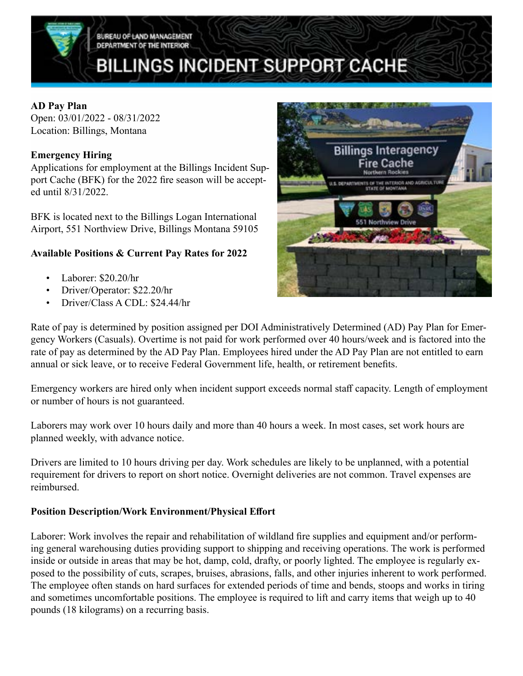

#### **AD Pay Plan**

Open: 03/01/2022 - 08/31/2022 Location: Billings, Montana

### **Emergency Hiring**

Applications for employment at the Billings Incident Support Cache (BFK) for the 2022 fire season will be accepted until 8/31/2022.

BFK is located next to the Billings Logan International Airport, 551 Northview Drive, Billings Montana 59105

## **Available Positions & Current Pay Rates for 2022**

- Laborer: \$20.20/hr
- Driver/Operator: \$22.20/hr
- Driver/Class A CDL: \$24.44/hr



Rate of pay is determined by position assigned per DOI Administratively Determined (AD) Pay Plan for Emergency Workers (Casuals). Overtime is not paid for work performed over 40 hours/week and is factored into the rate of pay as determined by the AD Pay Plan. Employees hired under the AD Pay Plan are not entitled to earn annual or sick leave, or to receive Federal Government life, health, or retirement benefits.

Emergency workers are hired only when incident support exceeds normal staff capacity. Length of employment or number of hours is not guaranteed.

Laborers may work over 10 hours daily and more than 40 hours a week. In most cases, set work hours are planned weekly, with advance notice.

Drivers are limited to 10 hours driving per day. Work schedules are likely to be unplanned, with a potential requirement for drivers to report on short notice. Overnight deliveries are not common. Travel expenses are reimbursed.

### **Position Description/Work Environment/Physical Effort**

Laborer: Work involves the repair and rehabilitation of wildland fire supplies and equipment and/or performing general warehousing duties providing support to shipping and receiving operations. The work is performed inside or outside in areas that may be hot, damp, cold, drafty, or poorly lighted. The employee is regularly exposed to the possibility of cuts, scrapes, bruises, abrasions, falls, and other injuries inherent to work performed. The employee often stands on hard surfaces for extended periods of time and bends, stoops and works in tiring and sometimes uncomfortable positions. The employee is required to lift and carry items that weigh up to 40 pounds (18 kilograms) on a recurring basis.